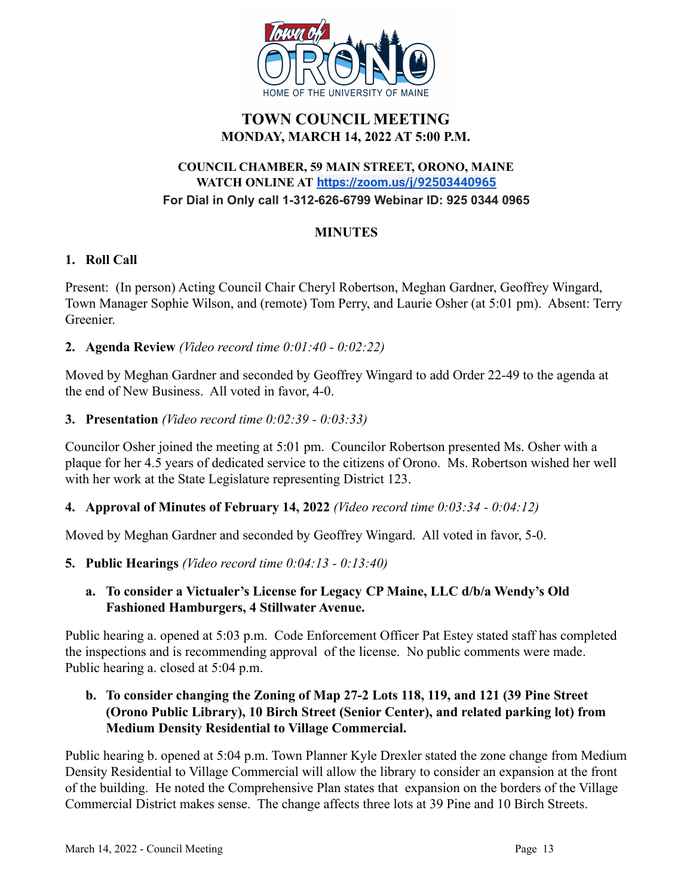

# **TOWN COUNCIL MEETING MONDAY, MARCH 14, 2022 AT 5:00 P.M.**

### **COUNCIL CHAMBER, 59 MAIN STREET, ORONO, MAINE WATCH ONLINE AT <https://zoom.us/j/92503440965> For Dial in Only call 1-312-626-6799 Webinar ID: 925 0344 0965**

### **MINUTES**

### **1. Roll Call**

Present: (In person) Acting Council Chair Cheryl Robertson, Meghan Gardner, Geoffrey Wingard, Town Manager Sophie Wilson, and (remote) Tom Perry, and Laurie Osher (at 5:01 pm). Absent: Terry Greenier.

## **2. Agenda Review** *(Video record time 0:01:40 - 0:02:22)*

Moved by Meghan Gardner and seconded by Geoffrey Wingard to add Order 22-49 to the agenda at the end of New Business. All voted in favor, 4-0.

## **3. Presentation** *(Video record time 0:02:39 - 0:03:33)*

Councilor Osher joined the meeting at 5:01 pm. Councilor Robertson presented Ms. Osher with a plaque for her 4.5 years of dedicated service to the citizens of Orono. Ms. Robertson wished her well with her work at the State Legislature representing District 123.

## **4. Approval of Minutes of February 14, 2022** *(Video record time 0:03:34 - 0:04:12)*

Moved by Meghan Gardner and seconded by Geoffrey Wingard. All voted in favor, 5-0.

### **5. Public Hearings** *(Video record time 0:04:13 - 0:13:40)*

## **a. To consider a Victualer's License for Legacy CP Maine, LLC d/b/a Wendy's Old Fashioned Hamburgers, 4 Stillwater Avenue.**

Public hearing a. opened at 5:03 p.m. Code Enforcement Officer Pat Estey stated staff has completed the inspections and is recommending approval of the license. No public comments were made. Public hearing a. closed at 5:04 p.m.

## **b. To consider changing the Zoning of Map 27-2 Lots 118, 119, and 121 (39 Pine Street (Orono Public Library), 10 Birch Street (Senior Center), and related parking lot) from Medium Density Residential to Village Commercial.**

Public hearing b. opened at 5:04 p.m. Town Planner Kyle Drexler stated the zone change from Medium Density Residential to Village Commercial will allow the library to consider an expansion at the front of the building. He noted the Comprehensive Plan states that expansion on the borders of the Village Commercial District makes sense. The change affects three lots at 39 Pine and 10 Birch Streets.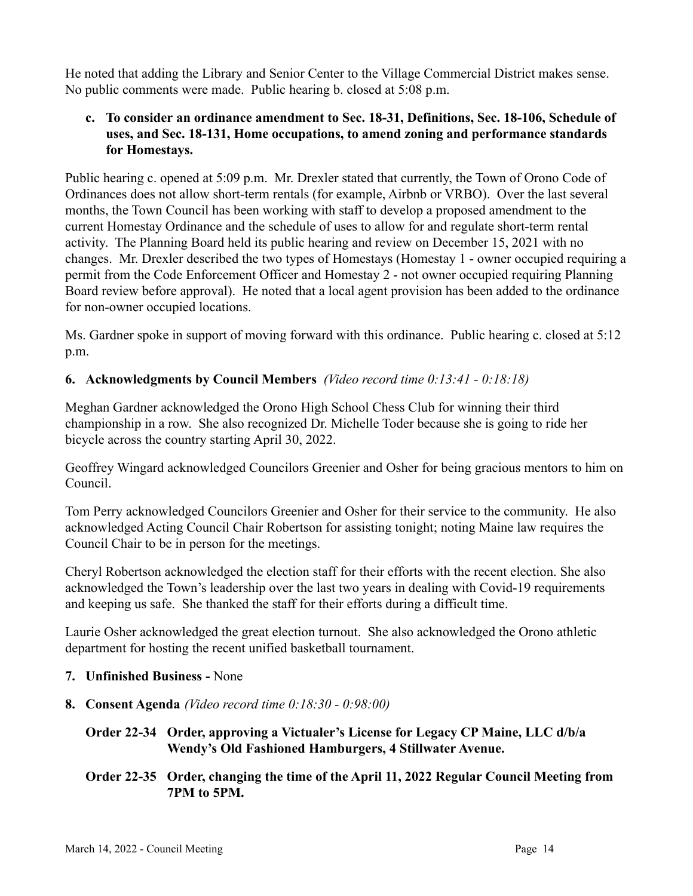He noted that adding the Library and Senior Center to the Village Commercial District makes sense. No public comments were made. Public hearing b. closed at 5:08 p.m.

### **c. To consider an ordinance amendment to Sec. 18-31, Definitions, Sec. 18-106, Schedule of uses, and Sec. 18-131, Home occupations, to amend zoning and performance standards for Homestays.**

Public hearing c. opened at 5:09 p.m. Mr. Drexler stated that currently, the Town of Orono Code of Ordinances does not allow short-term rentals (for example, Airbnb or VRBO). Over the last several months, the Town Council has been working with staff to develop a proposed amendment to the current Homestay Ordinance and the schedule of uses to allow for and regulate short-term rental activity. The Planning Board held its public hearing and review on December 15, 2021 with no changes. Mr. Drexler described the two types of Homestays (Homestay 1 - owner occupied requiring a permit from the Code Enforcement Officer and Homestay 2 - not owner occupied requiring Planning Board review before approval). He noted that a local agent provision has been added to the ordinance for non-owner occupied locations.

Ms. Gardner spoke in support of moving forward with this ordinance. Public hearing c. closed at 5:12 p.m.

## **6. Acknowledgments by Council Members** *(Video record time 0:13:41 - 0:18:18)*

Meghan Gardner acknowledged the Orono High School Chess Club for winning their third championship in a row. She also recognized Dr. Michelle Toder because she is going to ride her bicycle across the country starting April 30, 2022.

Geoffrey Wingard acknowledged Councilors Greenier and Osher for being gracious mentors to him on Council.

Tom Perry acknowledged Councilors Greenier and Osher for their service to the community. He also acknowledged Acting Council Chair Robertson for assisting tonight; noting Maine law requires the Council Chair to be in person for the meetings.

Cheryl Robertson acknowledged the election staff for their efforts with the recent election. She also acknowledged the Town's leadership over the last two years in dealing with Covid-19 requirements and keeping us safe. She thanked the staff for their efforts during a difficult time.

Laurie Osher acknowledged the great election turnout. She also acknowledged the Orono athletic department for hosting the recent unified basketball tournament.

## **7. Unfinished Business -** None

- **8. Consent Agenda** *(Video record time 0:18:30 0:98:00)*
	- **Order 22-34 Order, approving a Victualer's License for Legacy CP Maine, LLC d/b/a Wendy's Old Fashioned Hamburgers, 4 Stillwater Avenue.**
	- **Order 22-35 Order, changing the time of the April 11, 2022 Regular Council Meeting from 7PM to 5PM.**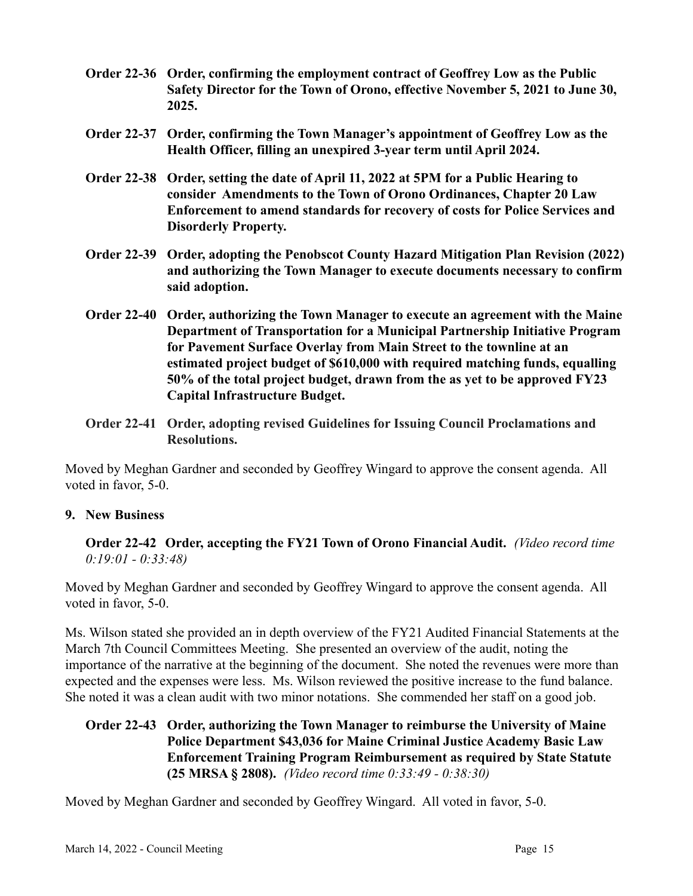- **Order 22-36 Order, confirming the employment contract of Geoffrey Low as the Public Safety Director for the Town of Orono, effective November 5, 2021 to June 30, 2025.**
- **Order 22-37 Order, confirming the Town Manager's appointment of Geoffrey Low as the Health Officer, filling an unexpired 3-year term until April 2024.**
- **Order 22-38 Order, setting the date of April 11, 2022 at 5PM for a Public Hearing to consider Amendments to the Town of Orono Ordinances, Chapter 20 Law Enforcement to amend standards for recovery of costs for Police Services and Disorderly Property.**
- **Order 22-39 Order, adopting the Penobscot County Hazard Mitigation Plan Revision (2022) and authorizing the Town Manager to execute documents necessary to confirm said adoption.**
- **Order 22-40 Order, authorizing the Town Manager to execute an agreement with the Maine Department of Transportation for a Municipal Partnership Initiative Program for Pavement Surface Overlay from Main Street to the townline at an estimated project budget of \$610,000 with required matching funds, equalling 50% of the total project budget, drawn from the as yet to be approved FY23 Capital Infrastructure Budget.**
- **Order 22-41 Order, adopting revised Guidelines for Issuing Council Proclamations and Resolutions.**

Moved by Meghan Gardner and seconded by Geoffrey Wingard to approve the consent agenda. All voted in favor, 5-0.

### **9. New Business**

**Order 22-42 Order, accepting the FY21 Town of Orono Financial Audit.** *(Video record time 0:19:01 - 0:33:48)*

Moved by Meghan Gardner and seconded by Geoffrey Wingard to approve the consent agenda. All voted in favor, 5-0.

Ms. Wilson stated she provided an in depth overview of the FY21 Audited Financial Statements at the March 7th Council Committees Meeting. She presented an overview of the audit, noting the importance of the narrative at the beginning of the document. She noted the revenues were more than expected and the expenses were less. Ms. Wilson reviewed the positive increase to the fund balance. She noted it was a clean audit with two minor notations. She commended her staff on a good job.

**Order 22-43 Order, authorizing the Town Manager to reimburse the University of Maine Police Department \$43,036 for Maine Criminal Justice Academy Basic Law Enforcement Training Program Reimbursement as required by State Statute (25 MRSA § 2808).** *(Video record time 0:33:49 - 0:38:30)*

Moved by Meghan Gardner and seconded by Geoffrey Wingard. All voted in favor, 5-0.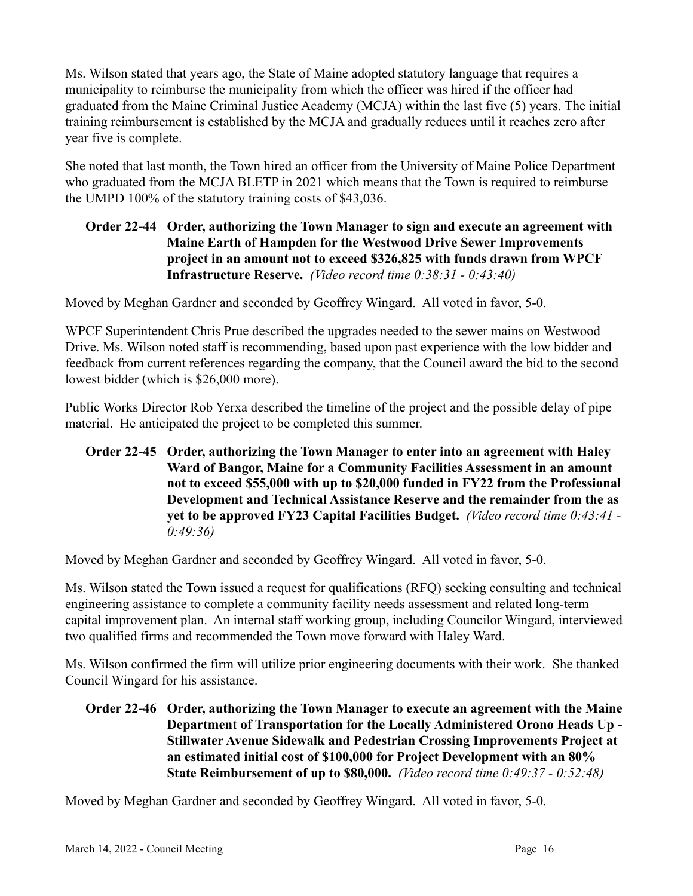Ms. Wilson stated that years ago, the State of Maine adopted statutory language that requires a municipality to reimburse the municipality from which the officer was hired if the officer had graduated from the Maine Criminal Justice Academy (MCJA) within the last five (5) years. The initial training reimbursement is established by the MCJA and gradually reduces until it reaches zero after year five is complete.

She noted that last month, the Town hired an officer from the University of Maine Police Department who graduated from the MCJA BLETP in 2021 which means that the Town is required to reimburse the UMPD 100% of the statutory training costs of \$43,036.

## **Order 22-44 Order, authorizing the Town Manager to sign and execute an agreement with Maine Earth of Hampden for the Westwood Drive Sewer Improvements project in an amount not to exceed \$326,825 with funds drawn from WPCF Infrastructure Reserve.** *(Video record time 0:38:31 - 0:43:40)*

Moved by Meghan Gardner and seconded by Geoffrey Wingard. All voted in favor, 5-0.

WPCF Superintendent Chris Prue described the upgrades needed to the sewer mains on Westwood Drive. Ms. Wilson noted staff is recommending, based upon past experience with the low bidder and feedback from current references regarding the company, that the Council award the bid to the second lowest bidder (which is \$26,000 more).

Public Works Director Rob Yerxa described the timeline of the project and the possible delay of pipe material. He anticipated the project to be completed this summer.

**Order 22-45 Order, authorizing the Town Manager to enter into an agreement with Haley Ward of Bangor, Maine for a Community Facilities Assessment in an amount not to exceed \$55,000 with up to \$20,000 funded in FY22 from the Professional Development and Technical Assistance Reserve and the remainder from the as yet to be approved FY23 Capital Facilities Budget.** *(Video record time 0:43:41 - 0:49:36)*

Moved by Meghan Gardner and seconded by Geoffrey Wingard. All voted in favor, 5-0.

Ms. Wilson stated the Town issued a request for qualifications (RFQ) seeking consulting and technical engineering assistance to complete a community facility needs assessment and related long-term capital improvement plan. An internal staff working group, including Councilor Wingard, interviewed two qualified firms and recommended the Town move forward with Haley Ward.

Ms. Wilson confirmed the firm will utilize prior engineering documents with their work. She thanked Council Wingard for his assistance.

**Order 22-46 Order, authorizing the Town Manager to execute an agreement with the Maine Department of Transportation for the Locally Administered Orono Heads Up - Stillwater Avenue Sidewalk and Pedestrian Crossing Improvements Project at an estimated initial cost of \$100,000 for Project Development with an 80% State Reimbursement of up to \$80,000.** *(Video record time 0:49:37 - 0:52:48)*

Moved by Meghan Gardner and seconded by Geoffrey Wingard. All voted in favor, 5-0.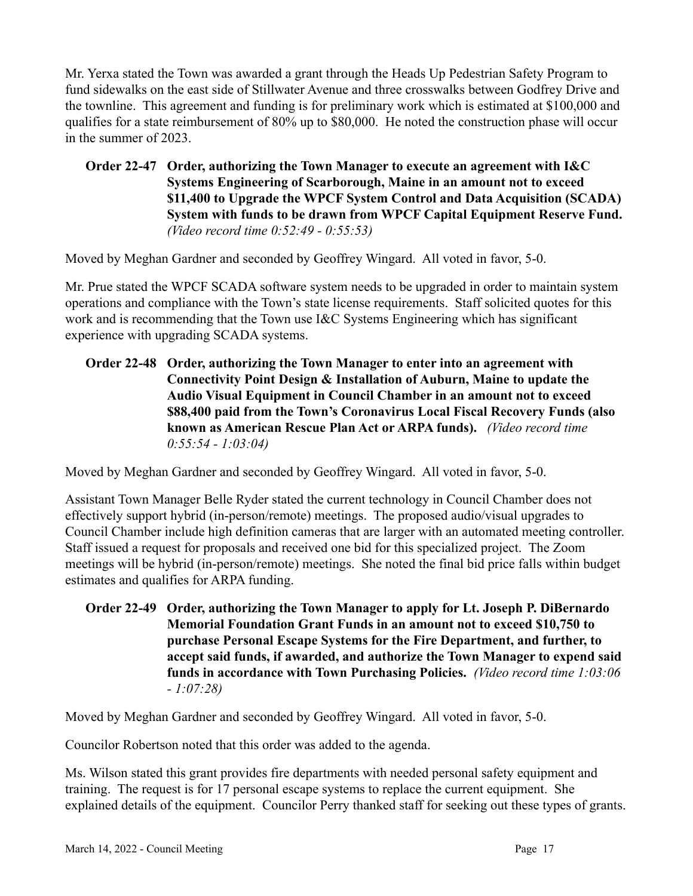Mr. Yerxa stated the Town was awarded a grant through the Heads Up Pedestrian Safety Program to fund sidewalks on the east side of Stillwater Avenue and three crosswalks between Godfrey Drive and the townline. This agreement and funding is for preliminary work which is estimated at \$100,000 and qualifies for a state reimbursement of 80% up to \$80,000. He noted the construction phase will occur in the summer of 2023.

**Order 22-47 Order, authorizing the Town Manager to execute an agreement with I&C Systems Engineering of Scarborough, Maine in an amount not to exceed \$11,400 to Upgrade the WPCF System Control and Data Acquisition (SCADA) System with funds to be drawn from WPCF Capital Equipment Reserve Fund.** *(Video record time 0:52:49 - 0:55:53)*

Moved by Meghan Gardner and seconded by Geoffrey Wingard. All voted in favor, 5-0.

Mr. Prue stated the WPCF SCADA software system needs to be upgraded in order to maintain system operations and compliance with the Town's state license requirements. Staff solicited quotes for this work and is recommending that the Town use I&C Systems Engineering which has significant experience with upgrading SCADA systems.

**Order 22-48 Order, authorizing the Town Manager to enter into an agreement with Connectivity Point Design & Installation of Auburn, Maine to update the Audio Visual Equipment in Council Chamber in an amount not to exceed \$88,400 paid from the Town's Coronavirus Local Fiscal Recovery Funds (also known as American Rescue Plan Act or ARPA funds).** *(Video record time 0:55:54 - 1:03:04)*

Moved by Meghan Gardner and seconded by Geoffrey Wingard. All voted in favor, 5-0.

Assistant Town Manager Belle Ryder stated the current technology in Council Chamber does not effectively support hybrid (in-person/remote) meetings. The proposed audio/visual upgrades to Council Chamber include high definition cameras that are larger with an automated meeting controller. Staff issued a request for proposals and received one bid for this specialized project. The Zoom meetings will be hybrid (in-person/remote) meetings. She noted the final bid price falls within budget estimates and qualifies for ARPA funding.

**Order 22-49 Order, authorizing the Town Manager to apply for Lt. Joseph P. DiBernardo Memorial Foundation Grant Funds in an amount not to exceed \$10,750 to purchase Personal Escape Systems for the Fire Department, and further, to accept said funds, if awarded, and authorize the Town Manager to expend said funds in accordance with Town Purchasing Policies.** *(Video record time 1:03:06 - 1:07:28)*

Moved by Meghan Gardner and seconded by Geoffrey Wingard. All voted in favor, 5-0.

Councilor Robertson noted that this order was added to the agenda.

Ms. Wilson stated this grant provides fire departments with needed personal safety equipment and training. The request is for 17 personal escape systems to replace the current equipment. She explained details of the equipment. Councilor Perry thanked staff for seeking out these types of grants.